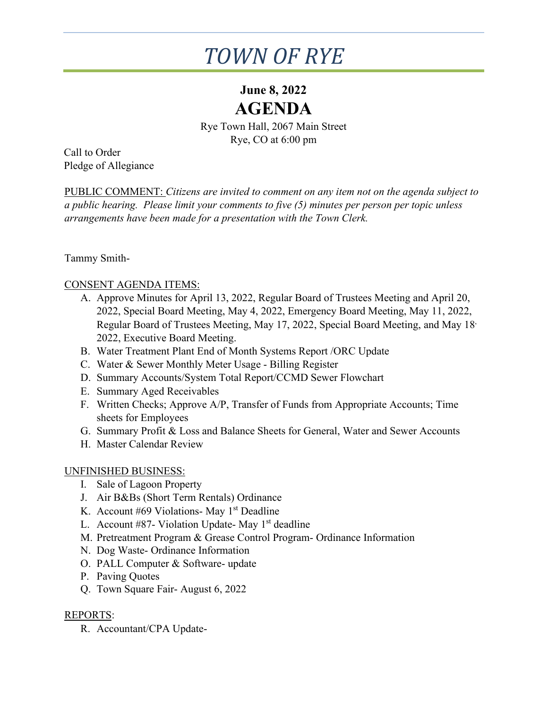# *TOWN OF RYE*

# **June 8, 2022 AGENDA**

Rye Town Hall, 2067 Main Street Rye, CO at 6:00 pm

Call to Order Pledge of Allegiance

PUBLIC COMMENT: *Citizens are invited to comment on any item not on the agenda subject to a public hearing. Please limit your comments to five (5) minutes per person per topic unless arrangements have been made for a presentation with the Town Clerk.*

Tammy Smith-

### CONSENT AGENDA ITEMS:

- A. Approve Minutes for April 13, 2022, Regular Board of Trustees Meeting and April 20, 2022, Special Board Meeting, May 4, 2022, Emergency Board Meeting, May 11, 2022, Regular Board of Trustees Meeting, May 17, 2022, Special Board Meeting, and May 18, 2022, Executive Board Meeting.
- B. Water Treatment Plant End of Month Systems Report /ORC Update
- C. Water & Sewer Monthly Meter Usage Billing Register
- D. Summary Accounts/System Total Report/CCMD Sewer Flowchart
- E. Summary Aged Receivables
- F. Written Checks; Approve A/P, Transfer of Funds from Appropriate Accounts; Time sheets for Employees
- G. Summary Profit & Loss and Balance Sheets for General, Water and Sewer Accounts
- H. Master Calendar Review

#### UNFINISHED BUSINESS:

- I. Sale of Lagoon Property
- J. Air B&Bs (Short Term Rentals) Ordinance
- K. Account #69 Violations- May  $1<sup>st</sup>$  Deadline
- L. Account  $#87$  Violation Update-May  $1<sup>st</sup>$  deadline
- M. Pretreatment Program & Grease Control Program- Ordinance Information
- N. Dog Waste- Ordinance Information
- O. PALL Computer & Software- update
- P. Paving Quotes
- Q. Town Square Fair- August 6, 2022

### REPORTS:

R. Accountant/CPA Update-